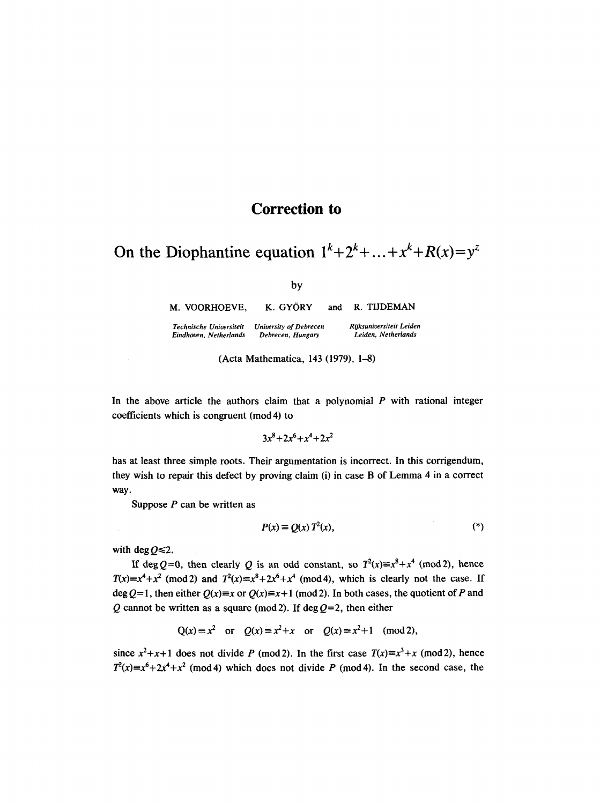## **Correction to**

On the Diophantine equation  $1^k+2^k+...+x^k+R(x)=y^z$ 

by

**M. VOORHOEVE,**  *Technische Unioersiteit University of Debrecen Eindhoven, Netherlands*  K. GYORY *Debrecen, Hungary*  and **R. TIJDEMAN**  *RUksuniversiteit Leiden Leiden, Netherlands* 

(Acta Mathematica, 143 (1979), 1-8)

In the above article the authors claim that a polynomial  $P$  with rational integer coefficients which is congruent (mod 4) to

$$
3x^8 + 2x^6 + x^4 + 2x^2
$$

has at least three simple roots. Their argumentation is incorrect. In this corrigendum, they wish to repair this defect by proving claim (i) in case B of Lemma 4 in a correct way.

Suppose  $P$  can be written as

$$
P(x) \equiv Q(x) T^2(x), \tag{*}
$$

with deg  $0 \le 2$ .

If deg Q=0, then clearly Q is an odd constant, so  $T^2(x) \equiv x^8 + x^4 \pmod{2}$ , hence  $T(x)=x^4+x^2 \pmod{2}$  and  $T^2(x)=x^8+2x^6+x^4 \pmod{4}$ , which is clearly not the case. If  $\deg Q=1$ , then either  $Q(x)=x$  or  $Q(x)=x+1$  (mod 2). In both cases, the quotient of P and Q cannot be written as a square (mod 2). If deg  $Q=2$ , then either

$$
Q(x) \equiv x^2
$$
 or  $Q(x) \equiv x^2 + x$  or  $Q(x) \equiv x^2 + 1 \pmod{2}$ ,

since  $x^2+x+1$  does not divide P (mod 2). In the first case  $T(x)=x^3+x$  (mod 2), hence  $T^2(x)=x^6+2x^4+x^2$  (mod 4) which does not divide P (mod 4). In the second case, the